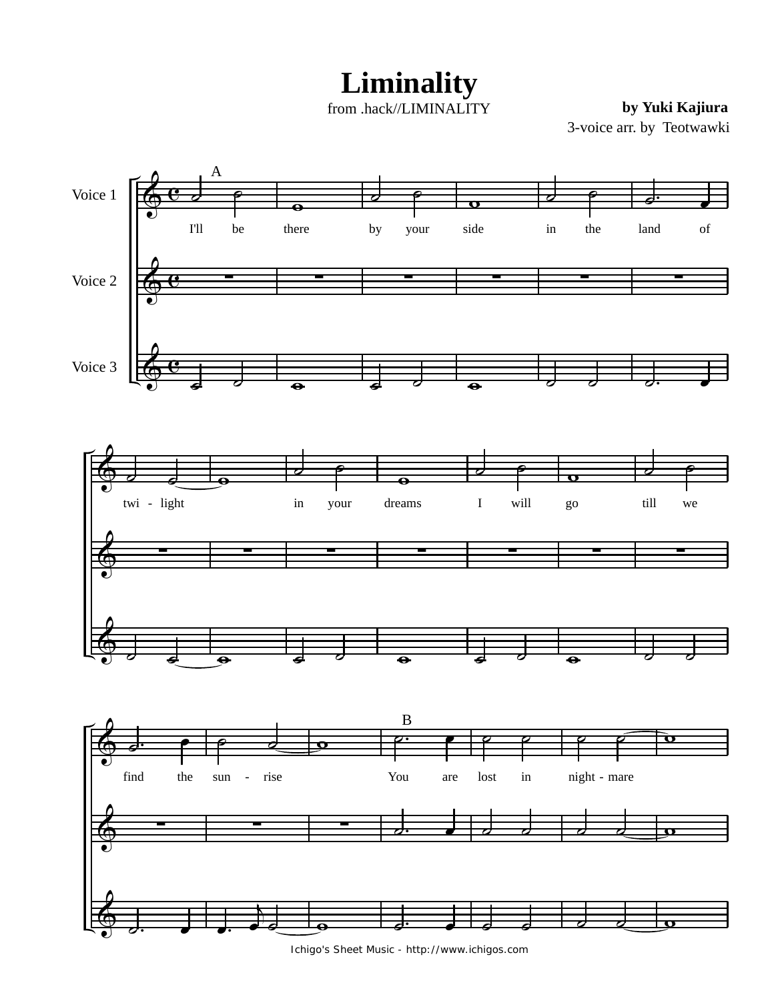**Liminality**

from .hack//LIMINALITY

**by Yuki Kajiura**

3-voice arr. by Teotwawki



Ichigo's Sheet Music - http://www.ichigos.com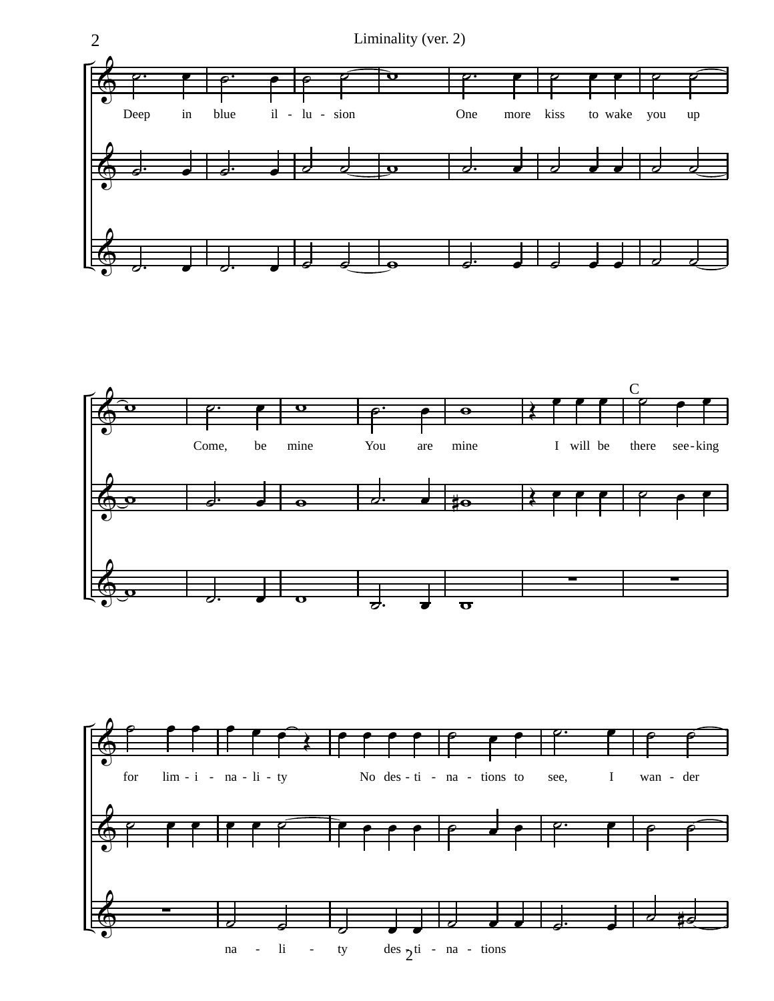



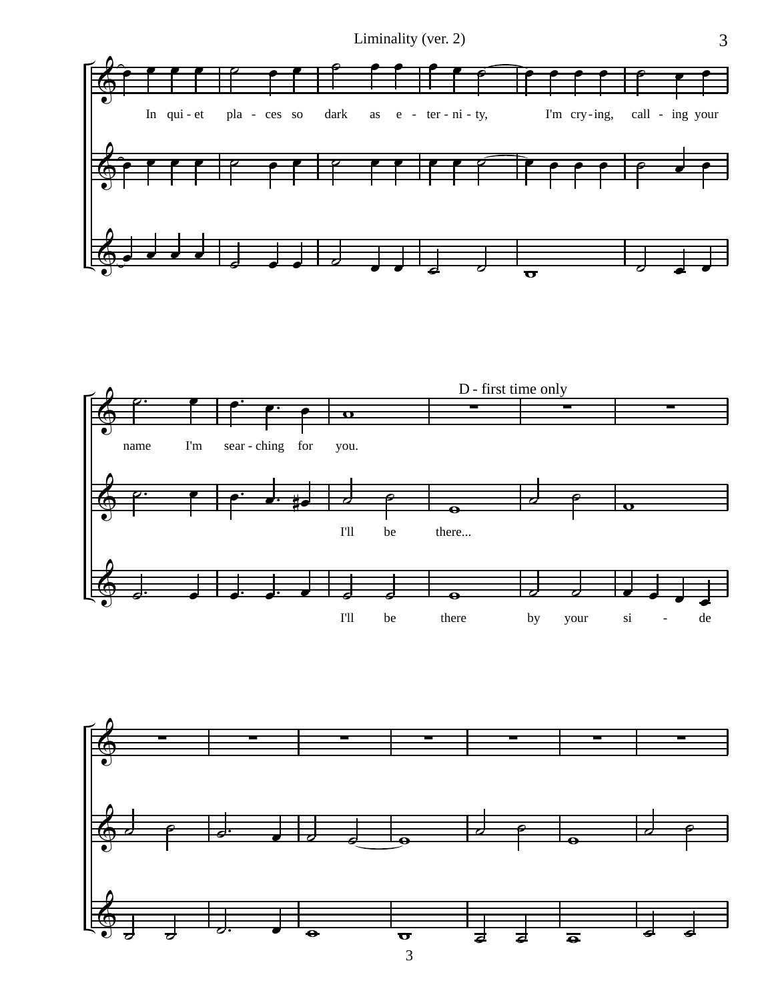



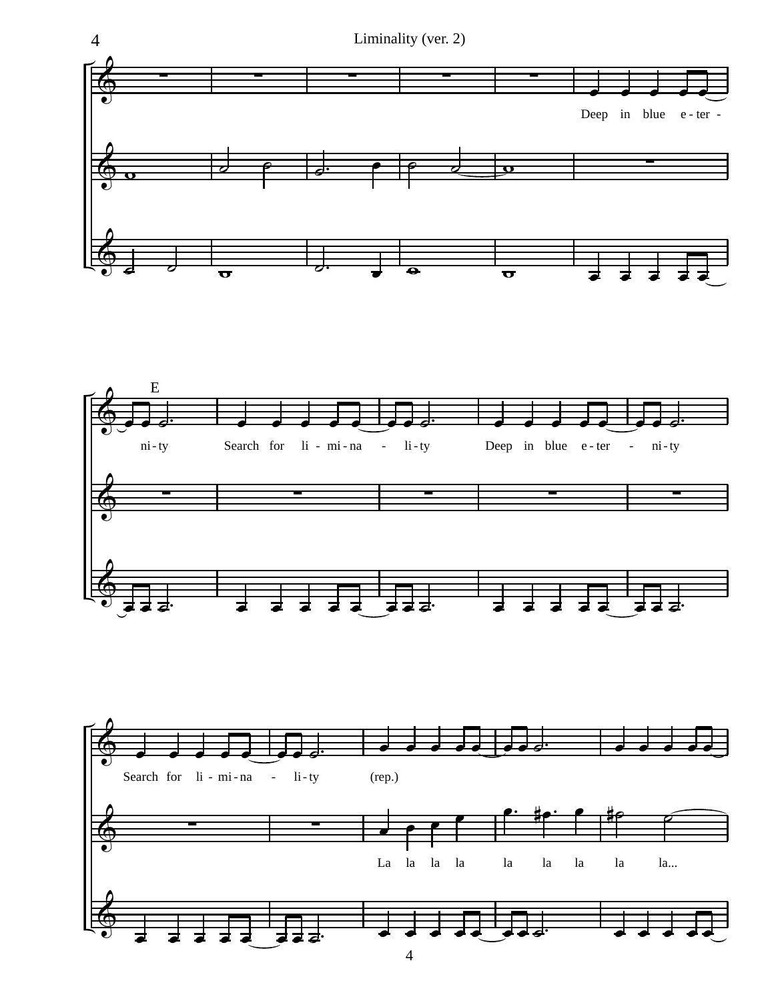